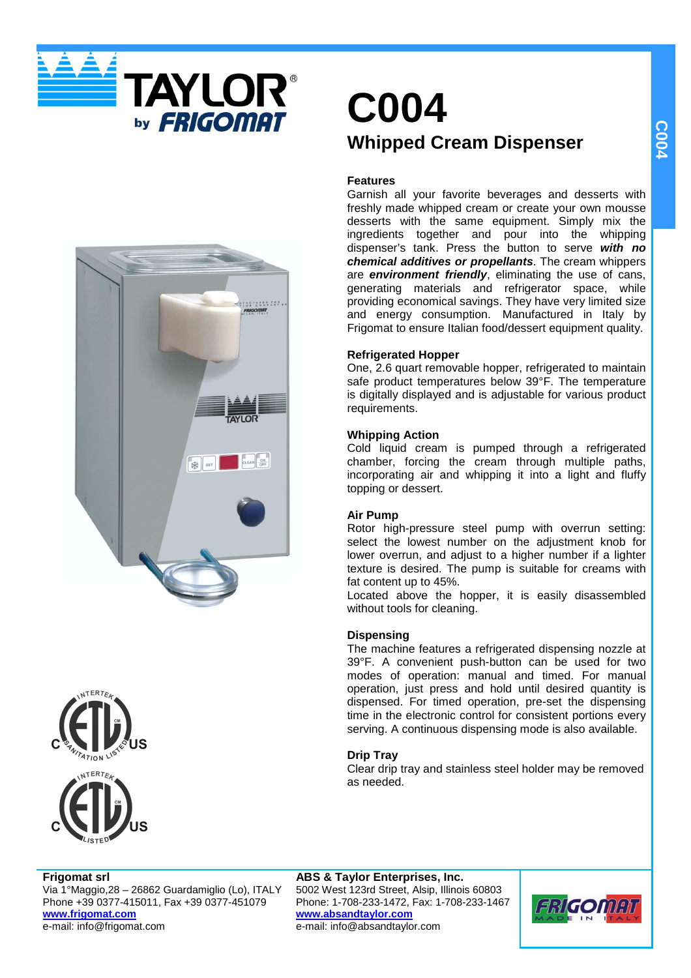





# **C004 Whipped Cream Dispenser**

### **Features**

Garnish all your favorite beverages and desserts with freshly made whipped cream or create your own mousse desserts with the same equipment. Simply mix the ingredients together and pour into the whipping dispenser's tank. Press the button to serve **with no chemical additives or propellants**. The cream whippers are **environment friendly**, eliminating the use of cans, generating materials and refrigerator space, while providing economical savings. They have very limited size and energy consumption. Manufactured in Italy by Frigomat to ensure Italian food/dessert equipment quality.

### **Refrigerated Hopper**

One, 2.6 quart removable hopper, refrigerated to maintain safe product temperatures below 39°F. The temperature is digitally displayed and is adjustable for various product requirements.

### **Whipping Action**

Cold liquid cream is pumped through a refrigerated chamber, forcing the cream through multiple paths, incorporating air and whipping it into a light and fluffy topping or dessert.

### **Air Pump**

Rotor high-pressure steel pump with overrun setting: select the lowest number on the adjustment knob for lower overrun, and adjust to a higher number if a lighter texture is desired. The pump is suitable for creams with fat content up to 45%.

Located above the hopper, it is easily disassembled without tools for cleaning.

### **Dispensing**

The machine features a refrigerated dispensing nozzle at 39°F. A convenient push-button can be used for two modes of operation: manual and timed. For manual operation, just press and hold until desired quantity is dispensed. For timed operation, pre-set the dispensing time in the electronic control for consistent portions every serving. A continuous dispensing mode is also available.

### **Drip Tray**

Clear drip tray and stainless steel holder may be removed as needed.

### **Frigomat srl**

Via 1°Maggio,28 – 26862 Guardamiglio (Lo), ITALY Phone +39 0377-415011, Fax +39 0377-451079 **www.frigomat.com** e-mail: info@frigomat.com

**ABS & Taylor Enterprises, Inc.** 5002 West 123rd Street, Alsip, Illinois 60803 Phone: 1-708-233-1472, Fax: 1-708-233-1467 **www.absandtaylor.com** e-mail: info@absandtaylor.com